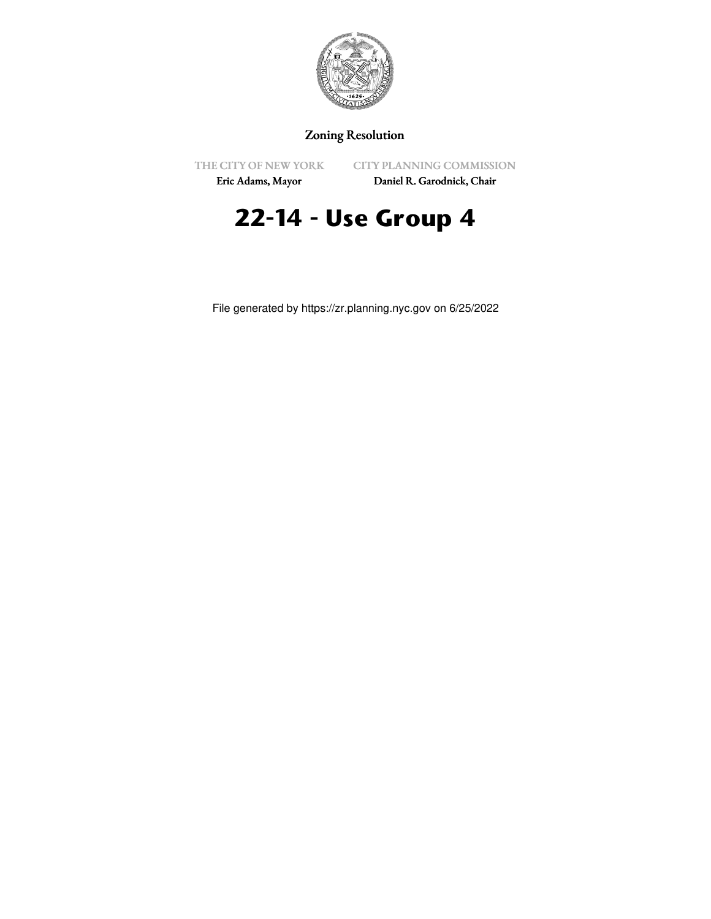

## Zoning Resolution

THE CITY OF NEW YORK

CITY PLANNING COMMISSION

Eric Adams, Mayor

Daniel R. Garodnick, Chair

# **22-14 - Use Group 4**

File generated by https://zr.planning.nyc.gov on 6/25/2022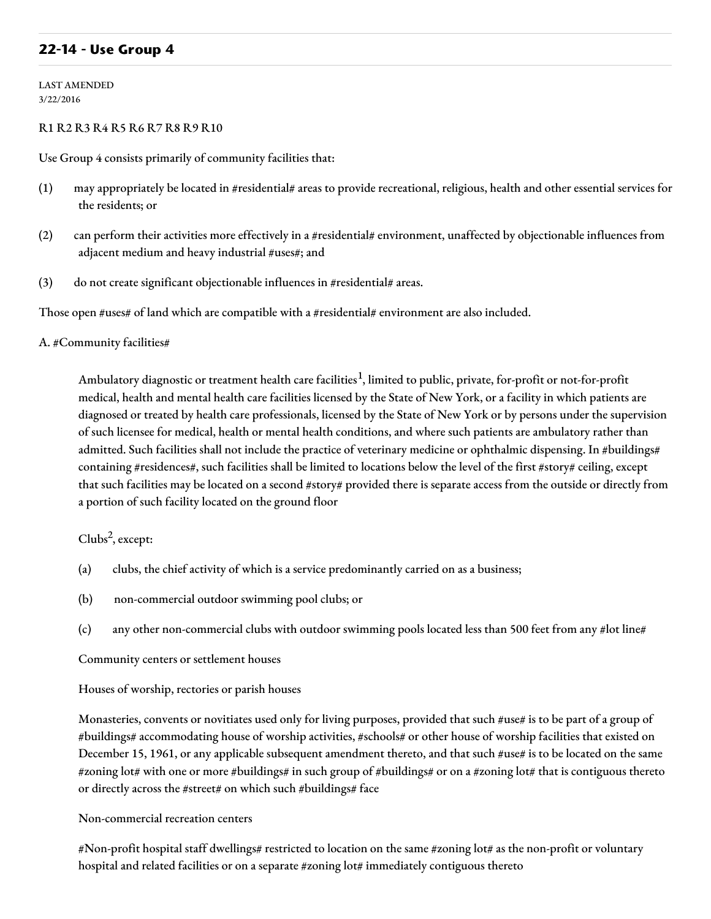## **22-14 - Use Group 4**

LAST AMENDED 3/22/2016

#### R1 R2 R3 R4 R5 R6 R7 R8 R9 R10

Use Group 4 consists primarily of community facilities that:

- (1) may appropriately be located in #residential# areas to provide recreational, religious, health and other essential services for the residents; or
- (2) can perform their activities more effectively in a #residential# environment, unaffected by objectionable influences from adjacent medium and heavy industrial #uses#; and
- (3) do not create significant objectionable influences in #residential# areas.

Those open #uses# of land which are compatible with a #residential# environment are also included.

#### A. #Community facilities#

Ambulatory diagnostic or treatment health care facilities<sup>1</sup>, limited to public, private, for-profit or not-for-profit medical, health and mental health care facilities licensed by the State of New York, or a facility in which patients are diagnosed or treated by health care professionals, licensed by the State of New York or by persons under the supervision of such licensee for medical, health or mental health conditions, and where such patients are ambulatory rather than admitted. Such facilities shall not include the practice of veterinary medicine or ophthalmic dispensing. In #buildings# containing #residences#, such facilities shall be limited to locations below the level of the first #story# ceiling, except that such facilities may be located on a second #story# provided there is separate access from the outside or directly from a portion of such facility located on the ground floor

Clubs 2 , except:

- (a) clubs, the chief activity of which is a service predominantly carried on as a business;
- (b) non-commercial outdoor swimming pool clubs; or
- (c) any other non-commercial clubs with outdoor swimming pools located less than 500 feet from any #lot line#

#### Community centers or settlement houses

#### Houses of worship, rectories or parish houses

Monasteries, convents or novitiates used only for living purposes, provided that such #use# is to be part of a group of #buildings# accommodating house of worship activities, #schools# or other house of worship facilities that existed on December 15, 1961, or any applicable subsequent amendment thereto, and that such #use# is to be located on the same #zoning lot# with one or more #buildings# in such group of #buildings# or on a #zoning lot# that is contiguous thereto or directly across the #street# on which such #buildings# face

#### Non-commercial recreation centers

#Non-profit hospital staff dwellings# restricted to location on the same #zoning lot# as the non-profit or voluntary hospital and related facilities or on a separate #zoning lot# immediately contiguous thereto